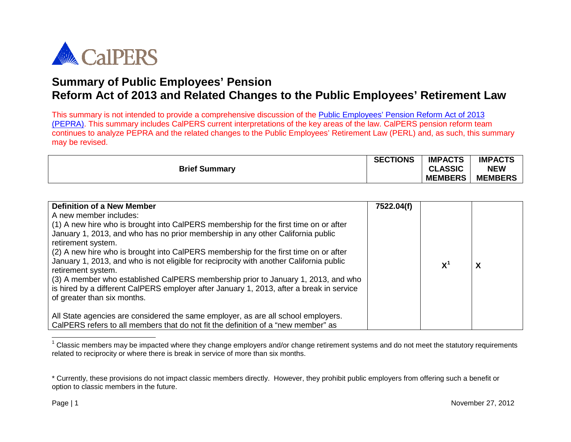<span id="page-0-0"></span>

This summary is not intended to provide a comprehensive discussion of the Public [Employees' Pension Reform Act of 2013](http://leginfo.ca.gov/pub/11-12/bill/asm/ab_0301-0350/ab_340_bill_20120912_chaptered.html)  [\(PEPRA\).](http://leginfo.ca.gov/pub/11-12/bill/asm/ab_0301-0350/ab_340_bill_20120912_chaptered.html) This summary includes CalPERS current interpretations of the key areas of the law. CalPERS pension reform team continues to analyze PEPRA and the related changes to the Public Employees' Retirement Law (PERL) and, as such, this summary may be revised.

|                      | <b>SECTIONS</b> | <b>IMPACTS</b> | <b>IMPACTS</b> |
|----------------------|-----------------|----------------|----------------|
| <b>Brief Summary</b> |                 | <b>CLASSIC</b> | <b>NEW</b>     |
|                      |                 | <b>MEMBERS</b> | <b>MEMBERS</b> |

| <b>Definition of a New Member</b><br>A new member includes:<br>(1) A new hire who is brought into CalPERS membership for the first time on or after<br>January 1, 2013, and who has no prior membership in any other California public<br>retirement system.<br>(2) A new hire who is brought into CalPERS membership for the first time on or after<br>January 1, 2013, and who is not eligible for reciprocity with another California public<br>retirement system.<br>(3) A member who established CalPERS membership prior to January 1, 2013, and who<br>is hired by a different CalPERS employer after January 1, 2013, after a break in service<br>of greater than six months. | 7522.04(f) | $X^1$ | X |
|---------------------------------------------------------------------------------------------------------------------------------------------------------------------------------------------------------------------------------------------------------------------------------------------------------------------------------------------------------------------------------------------------------------------------------------------------------------------------------------------------------------------------------------------------------------------------------------------------------------------------------------------------------------------------------------|------------|-------|---|
| All State agencies are considered the same employer, as are all school employers.<br>CalPERS refers to all members that do not fit the definition of a "new member" as                                                                                                                                                                                                                                                                                                                                                                                                                                                                                                                |            |       |   |

 $1$  Classic members may be impacted where they change employers and/or change retirement systems and do not meet the statutory requirements related to reciprocity or where there is break in service of more than six months.

 $\overline{a}$ 

<sup>\*</sup> Currently, these provisions do not impact classic members directly. However, they prohibit public employers from offering such a benefit or option to classic members in the future.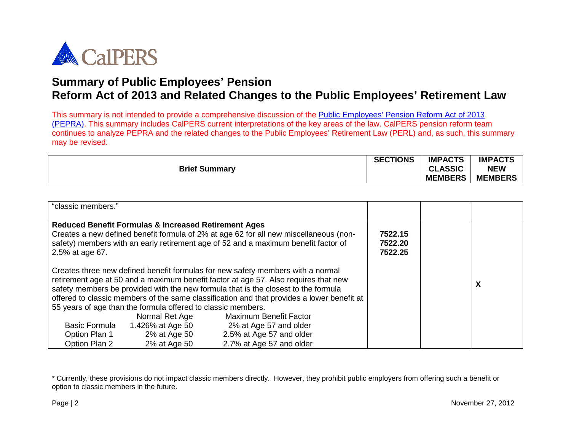

This summary is not intended to provide a comprehensive discussion of the Public [Employees' Pension Reform Act of 2013](http://leginfo.ca.gov/pub/11-12/bill/asm/ab_0301-0350/ab_340_bill_20120912_chaptered.html)  [\(PEPRA\).](http://leginfo.ca.gov/pub/11-12/bill/asm/ab_0301-0350/ab_340_bill_20120912_chaptered.html) This summary includes CalPERS current interpretations of the key areas of the law. CalPERS pension reform team continues to analyze PEPRA and the related changes to the Public Employees' Retirement Law (PERL) and, as such, this summary may be revised.

|                      | <b>SECTIONS</b> | <b>IMPACTS</b> | <b>IMPACTS</b> |
|----------------------|-----------------|----------------|----------------|
| <b>Brief Summary</b> |                 | <b>CLASSIC</b> | <b>NEW</b>     |
|                      |                 | <b>MEMBERS</b> | <b>MEMBERS</b> |

| "classic members."                    |                                                                                |                                                                                                                                                                                                                                                                                                                                                                                             |                               |   |
|---------------------------------------|--------------------------------------------------------------------------------|---------------------------------------------------------------------------------------------------------------------------------------------------------------------------------------------------------------------------------------------------------------------------------------------------------------------------------------------------------------------------------------------|-------------------------------|---|
| 2.5% at age 67.                       | <b>Reduced Benefit Formulas &amp; Increased Retirement Ages</b>                | Creates a new defined benefit formula of 2% at age 62 for all new miscellaneous (non-<br>safety) members with an early retirement age of 52 and a maximum benefit factor of                                                                                                                                                                                                                 | 7522.15<br>7522.20<br>7522.25 |   |
|                                       | 55 years of age than the formula offered to classic members.<br>Normal Ret Age | Creates three new defined benefit formulas for new safety members with a normal<br>retirement age at 50 and a maximum benefit factor at age 57. Also requires that new<br>safety members be provided with the new formula that is the closest to the formula<br>offered to classic members of the same classification and that provides a lower benefit at<br><b>Maximum Benefit Factor</b> |                               | X |
| <b>Basic Formula</b><br>Option Plan 1 | 1.426% at Age 50<br>2% at Age 50                                               | 2% at Age 57 and older<br>2.5% at Age 57 and older                                                                                                                                                                                                                                                                                                                                          |                               |   |
| Option Plan 2                         | 2% at Age 50                                                                   | 2.7% at Age 57 and older                                                                                                                                                                                                                                                                                                                                                                    |                               |   |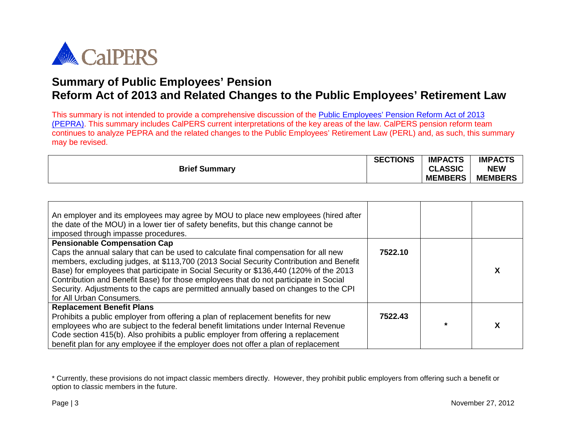

This summary is not intended to provide a comprehensive discussion of the Public [Employees' Pension Reform Act of 2013](http://leginfo.ca.gov/pub/11-12/bill/asm/ab_0301-0350/ab_340_bill_20120912_chaptered.html)  [\(PEPRA\).](http://leginfo.ca.gov/pub/11-12/bill/asm/ab_0301-0350/ab_340_bill_20120912_chaptered.html) This summary includes CalPERS current interpretations of the key areas of the law. CalPERS pension reform team continues to analyze PEPRA and the related changes to the Public Employees' Retirement Law (PERL) and, as such, this summary may be revised.

|                      | <b>SECTIONS</b> | <b>IMPACTS</b> | <b>IMPACTS</b> |
|----------------------|-----------------|----------------|----------------|
| <b>Brief Summary</b> |                 | <b>CLASSIC</b> | <b>NEW</b>     |
|                      |                 | <b>MEMBERS</b> | <b>MEMBERS</b> |

| An employer and its employees may agree by MOU to place new employees (hired after<br>the date of the MOU) in a lower tier of safety benefits, but this change cannot be<br>imposed through impasse procedures.                                                                                                                                                                                                                                                                     |         |   |
|-------------------------------------------------------------------------------------------------------------------------------------------------------------------------------------------------------------------------------------------------------------------------------------------------------------------------------------------------------------------------------------------------------------------------------------------------------------------------------------|---------|---|
| <b>Pensionable Compensation Cap</b>                                                                                                                                                                                                                                                                                                                                                                                                                                                 |         |   |
| Caps the annual salary that can be used to calculate final compensation for all new<br>members, excluding judges, at \$113,700 (2013 Social Security Contribution and Benefit<br>Base) for employees that participate in Social Security or \$136,440 (120% of the 2013<br>Contribution and Benefit Base) for those employees that do not participate in Social<br>Security. Adjustments to the caps are permitted annually based on changes to the CPI<br>for All Urban Consumers. | 7522.10 |   |
| <b>Replacement Benefit Plans</b>                                                                                                                                                                                                                                                                                                                                                                                                                                                    |         |   |
| Prohibits a public employer from offering a plan of replacement benefits for new                                                                                                                                                                                                                                                                                                                                                                                                    | 7522.43 |   |
| employees who are subject to the federal benefit limitations under Internal Revenue                                                                                                                                                                                                                                                                                                                                                                                                 |         | X |
| Code section 415(b). Also prohibits a public employer from offering a replacement                                                                                                                                                                                                                                                                                                                                                                                                   |         |   |
| benefit plan for any employee if the employer does not offer a plan of replacement                                                                                                                                                                                                                                                                                                                                                                                                  |         |   |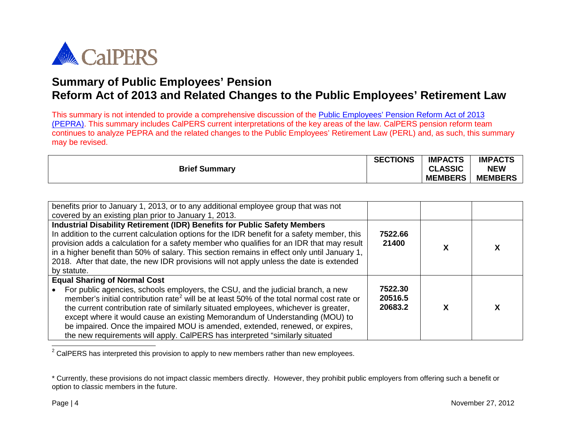<span id="page-3-0"></span>

This summary is not intended to provide a comprehensive discussion of the Public [Employees' Pension Reform Act of 2013](http://leginfo.ca.gov/pub/11-12/bill/asm/ab_0301-0350/ab_340_bill_20120912_chaptered.html)  [\(PEPRA\).](http://leginfo.ca.gov/pub/11-12/bill/asm/ab_0301-0350/ab_340_bill_20120912_chaptered.html) This summary includes CalPERS current interpretations of the key areas of the law. CalPERS pension reform team continues to analyze PEPRA and the related changes to the Public Employees' Retirement Law (PERL) and, as such, this summary may be revised.

|                      | <b>SECTIONS</b> | <b>IMPACTS</b> | <b>IMPACTS</b> |
|----------------------|-----------------|----------------|----------------|
| <b>Brief Summary</b> |                 | <b>CLASSIC</b> | <b>NEW</b>     |
|                      |                 | <b>MEMBERS</b> | <b>MEMBERS</b> |

| benefits prior to January 1, 2013, or to any additional employee group that was not<br>covered by an existing plan prior to January 1, 2013.                                                                                                                                                                                                                                                                                                                                                                                                                             |                               |   |
|--------------------------------------------------------------------------------------------------------------------------------------------------------------------------------------------------------------------------------------------------------------------------------------------------------------------------------------------------------------------------------------------------------------------------------------------------------------------------------------------------------------------------------------------------------------------------|-------------------------------|---|
| <b>Industrial Disability Retirement (IDR) Benefits for Public Safety Members</b><br>In addition to the current calculation options for the IDR benefit for a safety member, this<br>provision adds a calculation for a safety member who qualifies for an IDR that may result<br>in a higher benefit than 50% of salary. This section remains in effect only until January 1,<br>2018. After that date, the new IDR provisions will not apply unless the date is extended<br>by statute.                                                                                 | 7522.66<br>21400              | χ |
| <b>Equal Sharing of Normal Cost</b><br>For public agencies, schools employers, the CSU, and the judicial branch, a new<br>member's initial contribution rate <sup>2</sup> will be at least 50% of the total normal cost rate or<br>the current contribution rate of similarly situated employees, whichever is greater,<br>except where it would cause an existing Memorandum of Understanding (MOU) to<br>be impaired. Once the impaired MOU is amended, extended, renewed, or expires,<br>the new requirements will apply. CalPERS has interpreted "similarly situated | 7522.30<br>20516.5<br>20683.2 | χ |

 $2$  CalPERS has interpreted this provision to apply to new members rather than new employees.

 $\overline{\phantom{a}}$ 

<sup>\*</sup> Currently, these provisions do not impact classic members directly. However, they prohibit public employers from offering such a benefit or option to classic members in the future.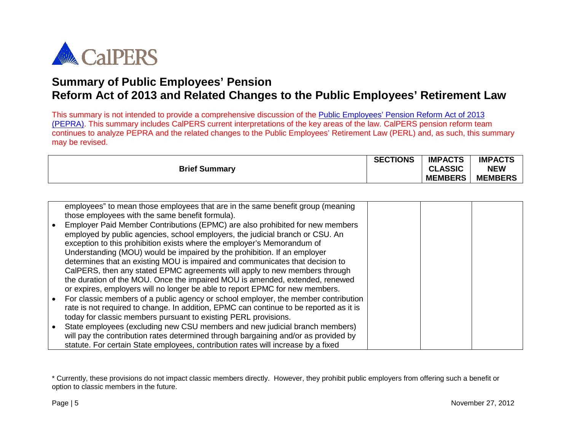

This summary is not intended to provide a comprehensive discussion of the Public [Employees' Pension Reform Act of 2013](http://leginfo.ca.gov/pub/11-12/bill/asm/ab_0301-0350/ab_340_bill_20120912_chaptered.html)  [\(PEPRA\).](http://leginfo.ca.gov/pub/11-12/bill/asm/ab_0301-0350/ab_340_bill_20120912_chaptered.html) This summary includes CalPERS current interpretations of the key areas of the law. CalPERS pension reform team continues to analyze PEPRA and the related changes to the Public Employees' Retirement Law (PERL) and, as such, this summary may be revised.

|                      | <b>SECTIONS</b> | <b>IMPACTS</b> | <b>IMPACTS</b> |
|----------------------|-----------------|----------------|----------------|
| <b>Brief Summary</b> |                 | <b>CLASSIC</b> | <b>NEW</b>     |
|                      |                 | <b>MEMBERS</b> | <b>MEMBERS</b> |

|           | employees" to mean those employees that are in the same benefit group (meaning         |  |  |
|-----------|----------------------------------------------------------------------------------------|--|--|
|           | those employees with the same benefit formula).                                        |  |  |
| $\bullet$ | Employer Paid Member Contributions (EPMC) are also prohibited for new members          |  |  |
|           | employed by public agencies, school employers, the judicial branch or CSU. An          |  |  |
|           | exception to this prohibition exists where the employer's Memorandum of                |  |  |
|           | Understanding (MOU) would be impaired by the prohibition. If an employer               |  |  |
|           | determines that an existing MOU is impaired and communicates that decision to          |  |  |
|           | CalPERS, then any stated EPMC agreements will apply to new members through             |  |  |
|           | the duration of the MOU. Once the impaired MOU is amended, extended, renewed           |  |  |
|           | or expires, employers will no longer be able to report EPMC for new members.           |  |  |
| $\bullet$ | For classic members of a public agency or school employer, the member contribution     |  |  |
|           | rate is not required to change. In addition, EPMC can continue to be reported as it is |  |  |
|           | today for classic members pursuant to existing PERL provisions.                        |  |  |
| $\bullet$ | State employees (excluding new CSU members and new judicial branch members)            |  |  |
|           | will pay the contribution rates determined through bargaining and/or as provided by    |  |  |
|           | statute. For certain State employees, contribution rates will increase by a fixed      |  |  |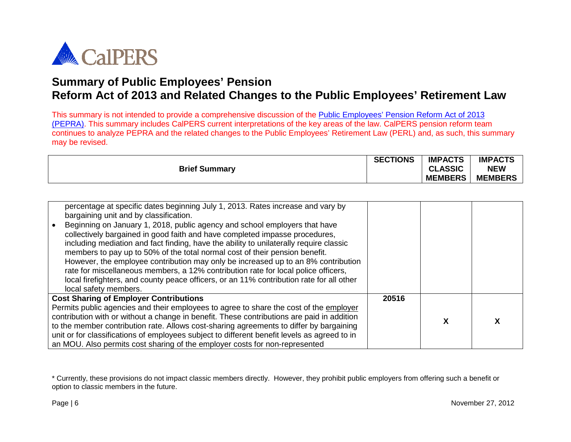

This summary is not intended to provide a comprehensive discussion of the Public [Employees' Pension Reform Act of 2013](http://leginfo.ca.gov/pub/11-12/bill/asm/ab_0301-0350/ab_340_bill_20120912_chaptered.html)  [\(PEPRA\).](http://leginfo.ca.gov/pub/11-12/bill/asm/ab_0301-0350/ab_340_bill_20120912_chaptered.html) This summary includes CalPERS current interpretations of the key areas of the law. CalPERS pension reform team continues to analyze PEPRA and the related changes to the Public Employees' Retirement Law (PERL) and, as such, this summary may be revised.

|                      | <b>SECTIONS</b> | <b>IMPACTS</b> | <b>IMPACTS</b> |
|----------------------|-----------------|----------------|----------------|
| <b>Brief Summary</b> |                 | <b>CLASSIC</b> | <b>NEW</b>     |
|                      |                 | <b>MEMBERS</b> | <b>MEMBERS</b> |

| percentage at specific dates beginning July 1, 2013. Rates increase and vary by<br>bargaining unit and by classification.<br>Beginning on January 1, 2018, public agency and school employers that have<br>collectively bargained in good faith and have completed impasse procedures,<br>including mediation and fact finding, have the ability to unilaterally require classic<br>members to pay up to 50% of the total normal cost of their pension benefit.<br>However, the employee contribution may only be increased up to an 8% contribution<br>rate for miscellaneous members, a 12% contribution rate for local police officers,<br>local firefighters, and county peace officers, or an 11% contribution rate for all other<br>local safety members. |       |   |   |
|-----------------------------------------------------------------------------------------------------------------------------------------------------------------------------------------------------------------------------------------------------------------------------------------------------------------------------------------------------------------------------------------------------------------------------------------------------------------------------------------------------------------------------------------------------------------------------------------------------------------------------------------------------------------------------------------------------------------------------------------------------------------|-------|---|---|
| <b>Cost Sharing of Employer Contributions</b>                                                                                                                                                                                                                                                                                                                                                                                                                                                                                                                                                                                                                                                                                                                   | 20516 |   |   |
| Permits public agencies and their employees to agree to share the cost of the employer                                                                                                                                                                                                                                                                                                                                                                                                                                                                                                                                                                                                                                                                          |       |   |   |
| contribution with or without a change in benefit. These contributions are paid in addition                                                                                                                                                                                                                                                                                                                                                                                                                                                                                                                                                                                                                                                                      |       | X | х |
| to the member contribution rate. Allows cost-sharing agreements to differ by bargaining                                                                                                                                                                                                                                                                                                                                                                                                                                                                                                                                                                                                                                                                         |       |   |   |
| unit or for classifications of employees subject to different benefit levels as agreed to in                                                                                                                                                                                                                                                                                                                                                                                                                                                                                                                                                                                                                                                                    |       |   |   |
| an MOU. Also permits cost sharing of the employer costs for non-represented                                                                                                                                                                                                                                                                                                                                                                                                                                                                                                                                                                                                                                                                                     |       |   |   |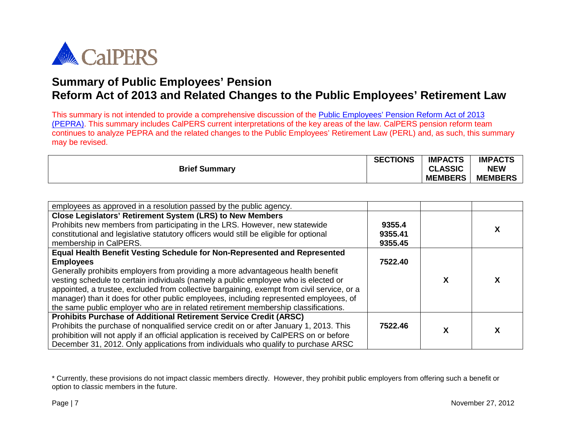

This summary is not intended to provide a comprehensive discussion of the Public [Employees' Pension Reform Act of 2013](http://leginfo.ca.gov/pub/11-12/bill/asm/ab_0301-0350/ab_340_bill_20120912_chaptered.html)  [\(PEPRA\).](http://leginfo.ca.gov/pub/11-12/bill/asm/ab_0301-0350/ab_340_bill_20120912_chaptered.html) This summary includes CalPERS current interpretations of the key areas of the law. CalPERS pension reform team continues to analyze PEPRA and the related changes to the Public Employees' Retirement Law (PERL) and, as such, this summary may be revised.

|                      | <b>SECTIONS</b> | <b>IMPACTS</b> | <b>IMPACTS</b> |
|----------------------|-----------------|----------------|----------------|
| <b>Brief Summary</b> |                 | <b>CLASSIC</b> | <b>NEW</b>     |
|                      |                 | <b>MEMBERS</b> | <b>MEMBERS</b> |

| employees as approved in a resolution passed by the public agency.                                                                                                                                                                                                                                                                                                                                                                                                                                                                                   |                              |   |   |
|------------------------------------------------------------------------------------------------------------------------------------------------------------------------------------------------------------------------------------------------------------------------------------------------------------------------------------------------------------------------------------------------------------------------------------------------------------------------------------------------------------------------------------------------------|------------------------------|---|---|
| Close Legislators' Retirement System (LRS) to New Members<br>Prohibits new members from participating in the LRS. However, new statewide<br>constitutional and legislative statutory officers would still be eligible for optional<br>membership in CalPERS.                                                                                                                                                                                                                                                                                         | 9355.4<br>9355.41<br>9355.45 |   |   |
| Equal Health Benefit Vesting Schedule for Non-Represented and Represented<br><b>Employees</b><br>Generally prohibits employers from providing a more advantageous health benefit<br>vesting schedule to certain individuals (namely a public employee who is elected or<br>appointed, a trustee, excluded from collective bargaining, exempt from civil service, or a<br>manager) than it does for other public employees, including represented employees, of<br>the same public employer who are in related retirement membership classifications. | 7522.40                      | х | x |
| <b>Prohibits Purchase of Additional Retirement Service Credit (ARSC)</b><br>Prohibits the purchase of nonqualified service credit on or after January 1, 2013. This<br>prohibition will not apply if an official application is received by CalPERS on or before<br>December 31, 2012. Only applications from individuals who qualify to purchase ARSC                                                                                                                                                                                               | 7522.46                      | Χ | X |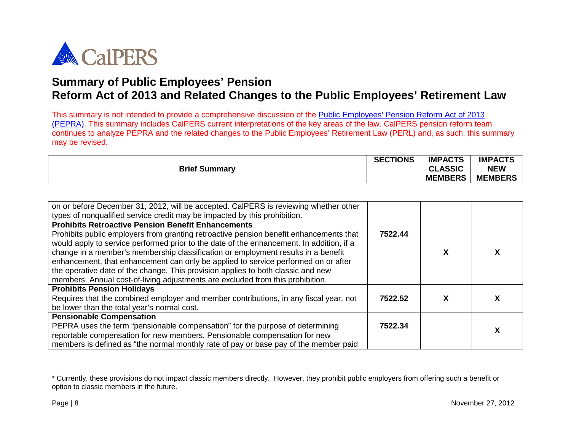

This summary is not intended to provide a comprehensive discussion of the Public [Employees' Pension Reform Act of 2013](http://leginfo.ca.gov/pub/11-12/bill/asm/ab_0301-0350/ab_340_bill_20120912_chaptered.html)  [\(PEPRA\).](http://leginfo.ca.gov/pub/11-12/bill/asm/ab_0301-0350/ab_340_bill_20120912_chaptered.html) This summary includes CalPERS current interpretations of the key areas of the law. CalPERS pension reform team continues to analyze PEPRA and the related changes to the Public Employees' Retirement Law (PERL) and, as such, this summary may be revised.

| <b>Brief Summary</b> | <b>SECTIONS</b> | <b>IMPACTS</b><br><b>CLASSIC</b><br>$\mathbf{C}$ | <b>IMPACTS</b><br><b>NEW</b> |
|----------------------|-----------------|--------------------------------------------------|------------------------------|
|                      |                 | <b>MEMBERS</b>                                   | <b>MEMBERS</b>               |

| on or before December 31, 2012, will be accepted. CalPERS is reviewing whether other     |         |   |   |
|------------------------------------------------------------------------------------------|---------|---|---|
| types of nonqualified service credit may be impacted by this prohibition.                |         |   |   |
| <b>Prohibits Retroactive Pension Benefit Enhancements</b>                                |         |   |   |
| Prohibits public employers from granting retroactive pension benefit enhancements that   | 7522.44 |   |   |
| would apply to service performed prior to the date of the enhancement. In addition, if a |         |   |   |
| change in a member's membership classification or employment results in a benefit        |         | х | х |
| enhancement, that enhancement can only be applied to service performed on or after       |         |   |   |
| the operative date of the change. This provision applies to both classic and new         |         |   |   |
| members. Annual cost-of-living adjustments are excluded from this prohibition.           |         |   |   |
| <b>Prohibits Pension Holidays</b>                                                        |         |   |   |
| Requires that the combined employer and member contributions, in any fiscal year, not    | 7522.52 | х |   |
| be lower than the total year's normal cost.                                              |         |   |   |
| <b>Pensionable Compensation</b>                                                          |         |   |   |
| PEPRA uses the term "pensionable compensation" for the purpose of determining            | 7522.34 |   |   |
| reportable compensation for new members. Pensionable compensation for new                |         |   | Χ |
| members is defined as "the normal monthly rate of pay or base pay of the member paid     |         |   |   |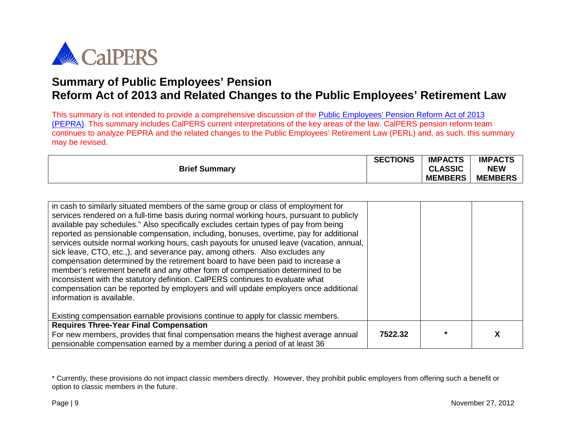

This summary is not intended to provide a comprehensive discussion of the Public [Employees' Pension Reform Act of 2013](http://leginfo.ca.gov/pub/11-12/bill/asm/ab_0301-0350/ab_340_bill_20120912_chaptered.html)  [\(PEPRA\).](http://leginfo.ca.gov/pub/11-12/bill/asm/ab_0301-0350/ab_340_bill_20120912_chaptered.html) This summary includes CalPERS current interpretations of the key areas of the law. CalPERS pension reform team continues to analyze PEPRA and the related changes to the Public Employees' Retirement Law (PERL) and, as such, this summary may be revised.

| <b>Brief Summary</b> | <b>SECTIONS</b> | <b>IMPACTS</b><br><b>CLASSIC</b><br><b>MEMBERS</b> | <b>IMPACTS</b><br><b>NEW</b><br><b>MEMBERS</b> |
|----------------------|-----------------|----------------------------------------------------|------------------------------------------------|
|                      |                 |                                                    |                                                |

| in cash to similarly situated members of the same group or class of employment for<br>services rendered on a full-time basis during normal working hours, pursuant to publicly<br>available pay schedules." Also specifically excludes certain types of pay from being<br>reported as pensionable compensation, including, bonuses, overtime, pay for additional<br>services outside normal working hours, cash payouts for unused leave (vacation, annual,<br>sick leave, CTO, etc.,), and severance pay, among others. Also excludes any<br>compensation determined by the retirement board to have been paid to increase a<br>member's retirement benefit and any other form of compensation determined to be<br>inconsistent with the statutory definition. CalPERS continues to evaluate what<br>compensation can be reported by employers and will update employers once additional<br>information is available.<br>Existing compensation earnable provisions continue to apply for classic members. |         |         |  |
|------------------------------------------------------------------------------------------------------------------------------------------------------------------------------------------------------------------------------------------------------------------------------------------------------------------------------------------------------------------------------------------------------------------------------------------------------------------------------------------------------------------------------------------------------------------------------------------------------------------------------------------------------------------------------------------------------------------------------------------------------------------------------------------------------------------------------------------------------------------------------------------------------------------------------------------------------------------------------------------------------------|---------|---------|--|
| <b>Requires Three-Year Final Compensation</b>                                                                                                                                                                                                                                                                                                                                                                                                                                                                                                                                                                                                                                                                                                                                                                                                                                                                                                                                                              |         |         |  |
| For new members, provides that final compensation means the highest average annual<br>pensionable compensation earned by a member during a period of at least 36                                                                                                                                                                                                                                                                                                                                                                                                                                                                                                                                                                                                                                                                                                                                                                                                                                           | 7522.32 | $\star$ |  |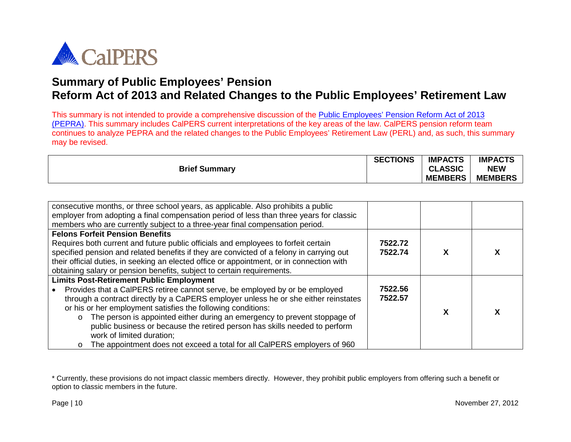

This summary is not intended to provide a comprehensive discussion of the Public [Employees' Pension Reform Act of 2013](http://leginfo.ca.gov/pub/11-12/bill/asm/ab_0301-0350/ab_340_bill_20120912_chaptered.html)  [\(PEPRA\).](http://leginfo.ca.gov/pub/11-12/bill/asm/ab_0301-0350/ab_340_bill_20120912_chaptered.html) This summary includes CalPERS current interpretations of the key areas of the law. CalPERS pension reform team continues to analyze PEPRA and the related changes to the Public Employees' Retirement Law (PERL) and, as such, this summary may be revised.

|                      | <b>SECTIONS</b> | <b>IMPACTS</b> | <b>IMPACTS</b> |
|----------------------|-----------------|----------------|----------------|
| <b>Brief Summary</b> |                 | <b>CLASSIC</b> | <b>NEW</b>     |
|                      |                 | <b>MEMBERS</b> | <b>MEMBERS</b> |

| consecutive months, or three school years, as applicable. Also prohibits a public<br>employer from adopting a final compensation period of less than three years for classic<br>members who are currently subject to a three-year final compensation period.    |                    |   |   |
|-----------------------------------------------------------------------------------------------------------------------------------------------------------------------------------------------------------------------------------------------------------------|--------------------|---|---|
| <b>Felons Forfeit Pension Benefits</b><br>Requires both current and future public officials and employees to forfeit certain                                                                                                                                    | 7522.72            |   |   |
| specified pension and related benefits if they are convicted of a felony in carrying out<br>their official duties, in seeking an elected office or appointment, or in connection with<br>obtaining salary or pension benefits, subject to certain requirements. | 7522.74            | х | x |
| <b>Limits Post-Retirement Public Employment</b>                                                                                                                                                                                                                 |                    |   |   |
| Provides that a CalPERS retiree cannot serve, be employed by or be employed<br>through a contract directly by a CaPERS employer unless he or she either reinstates                                                                                              | 7522.56<br>7522.57 |   |   |
| or his or her employment satisfies the following conditions:                                                                                                                                                                                                    |                    | х |   |
| The person is appointed either during an emergency to prevent stoppage of<br>$\circ$                                                                                                                                                                            |                    |   |   |
| public business or because the retired person has skills needed to perform<br>work of limited duration;                                                                                                                                                         |                    |   |   |
| The appointment does not exceed a total for all CalPERS employers of 960<br>$\circ$                                                                                                                                                                             |                    |   |   |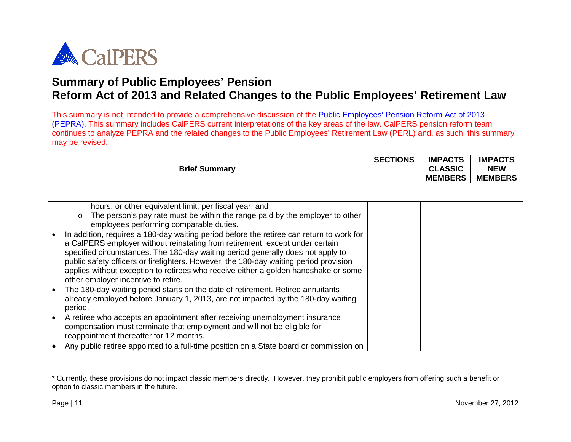

This summary is not intended to provide a comprehensive discussion of the Public [Employees' Pension Reform Act of 2013](http://leginfo.ca.gov/pub/11-12/bill/asm/ab_0301-0350/ab_340_bill_20120912_chaptered.html)  [\(PEPRA\).](http://leginfo.ca.gov/pub/11-12/bill/asm/ab_0301-0350/ab_340_bill_20120912_chaptered.html) This summary includes CalPERS current interpretations of the key areas of the law. CalPERS pension reform team continues to analyze PEPRA and the related changes to the Public Employees' Retirement Law (PERL) and, as such, this summary may be revised.

|                      | <b>SECTIONS</b> | <b>IMPACTS</b> | <b>IMPACTS</b> |
|----------------------|-----------------|----------------|----------------|
| <b>Brief Summary</b> |                 | <b>CLASSIC</b> | <b>NEW</b>     |
|                      |                 | <b>MEMBERS</b> | <b>MEMBERS</b> |

|           | hours, or other equivalent limit, per fiscal year; and                                   |  |  |
|-----------|------------------------------------------------------------------------------------------|--|--|
|           | The person's pay rate must be within the range paid by the employer to other<br>$\circ$  |  |  |
|           |                                                                                          |  |  |
|           | employees performing comparable duties.                                                  |  |  |
| $\bullet$ | In addition, requires a 180-day waiting period before the retiree can return to work for |  |  |
|           | a CalPERS employer without reinstating from retirement, except under certain             |  |  |
|           |                                                                                          |  |  |
|           | specified circumstances. The 180-day waiting period generally does not apply to          |  |  |
|           | public safety officers or firefighters. However, the 180-day waiting period provision    |  |  |
|           | applies without exception to retirees who receive either a golden handshake or some      |  |  |
|           |                                                                                          |  |  |
|           | other employer incentive to retire.                                                      |  |  |
| $\bullet$ | The 180-day waiting period starts on the date of retirement. Retired annuitants          |  |  |
|           | already employed before January 1, 2013, are not impacted by the 180-day waiting         |  |  |
|           |                                                                                          |  |  |
|           | period.                                                                                  |  |  |
| $\bullet$ | A retiree who accepts an appointment after receiving unemployment insurance              |  |  |
|           | compensation must terminate that employment and will not be eligible for                 |  |  |
|           |                                                                                          |  |  |
|           | reappointment thereafter for 12 months.                                                  |  |  |
|           | Any public retiree appointed to a full-time position on a State board or commission on   |  |  |